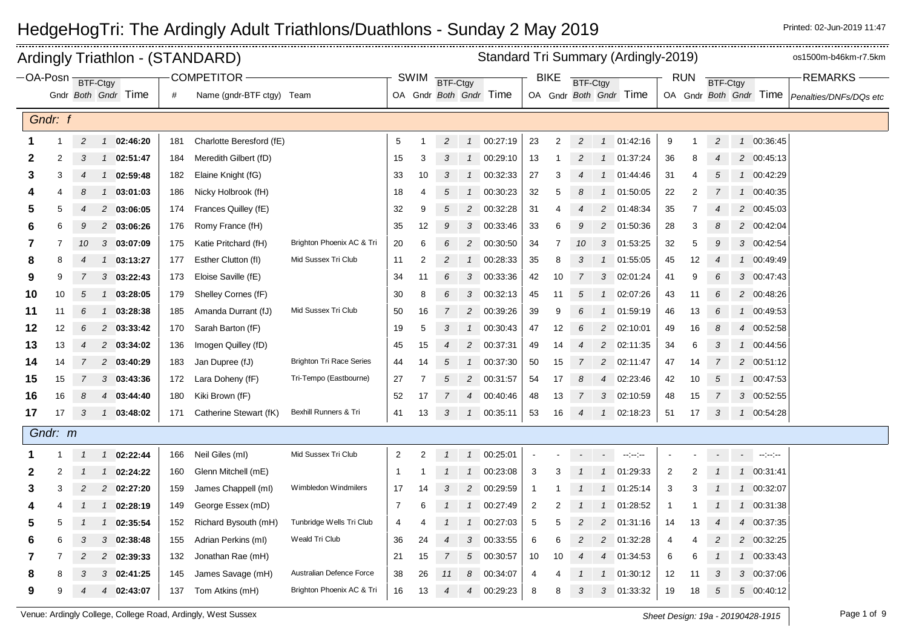|                       |         |                |                | Ardingly Triathlon - (STANDARD) |     |                           |                                 |                 |                |                 |                |                        |                |                | Standard Tri Summary (Ardingly-2019) |                |                        |                |    |                 | os1500m-b46km-r7.5km |                           |                        |
|-----------------------|---------|----------------|----------------|---------------------------------|-----|---------------------------|---------------------------------|-----------------|----------------|-----------------|----------------|------------------------|----------------|----------------|--------------------------------------|----------------|------------------------|----------------|----|-----------------|----------------------|---------------------------|------------------------|
| −OA-Posn <sub>i</sub> |         |                | BTF-Ctgy       |                                 |     | <b>COMPETITOR</b>         |                                 |                 | <b>SWIM</b>    | <b>BTF-Ctgy</b> |                |                        |                | <b>BIKE</b>    | BTF-Ctgy                             |                |                        | <b>RUN</b>     |    | <b>BTF-Ctgy</b> |                      |                           | <b>REMARKS</b>         |
|                       |         |                |                | Gndr Both Gndr Time             | #   | Name (gndr-BTF ctgy) Team |                                 |                 |                |                 |                | OA Gndr Both Gndr Time |                |                |                                      |                | OA Gndr Both Gndr Time |                |    |                 |                      | OA Gndr Both Gndr Time    | Penalties/DNFs/DQs etc |
|                       |         |                |                |                                 |     |                           |                                 |                 |                |                 |                |                        |                |                |                                      |                |                        |                |    |                 |                      |                           |                        |
|                       | Gndr: f |                |                |                                 |     |                           |                                 |                 |                |                 |                |                        |                |                |                                      |                |                        |                |    |                 |                      |                           |                        |
|                       |         | $\overline{c}$ |                | 1 02:46:20                      | 181 | Charlotte Beresford (fE)  |                                 | $5\phantom{.0}$ |                | $\overline{c}$  |                | 1 00:27:19             | 23             | $\overline{2}$ | $\overline{c}$                       |                | 1 01:42:16             | 9              | 1  | $\overline{c}$  |                      | 1 00:36:45                |                        |
| 2                     | 2       | 3              | $\mathcal{I}$  | 02:51:47                        | 184 | Meredith Gilbert (fD)     |                                 | 15              | 3              | 3               | $\mathcal{I}$  | 00:29:10               | 13             | -1             | 2                                    | $\mathbf{1}$   | 01:37:24               | 36             | 8  |                 |                      | 2 00:45:13                |                        |
| 3                     | 3       | $\overline{4}$ | $\mathcal{I}$  | 02:59:48                        | 182 | Elaine Knight (fG)        |                                 | 33              | 10             | 3               | $\mathcal{I}$  | 00:32:33               | 27             | 3              | $\overline{4}$                       |                | 1 01:44:46             | 31             | 4  | 5               |                      | 1 00:42:29                |                        |
|                       | 4       | 8              | $\mathcal{I}$  | 03:01:03                        | 186 | Nicky Holbrook (fH)       |                                 | 18              | 4              | 5               | $\mathcal I$   | 00:30:23               | 32             | 5              | 8                                    | $\mathcal{I}$  | 01:50:05               | 22             | 2  |                 |                      | 1 00:40:35                |                        |
| 5                     | 5       | 4              |                | 2 03:06:05                      | 174 | Frances Quilley (fE)      |                                 | 32              | 9              | 5               |                | 2 00:32:28             | 31             |                | 4                                    |                | 2 01:48:34             | 35             |    |                 |                      | 2 00:45:03                |                        |
| 6                     | 6       | 9              |                | 2 03:06:26                      | 176 | Romy France (fH)          |                                 | 35              | 12             | 9               | 3              | 00:33:46               | 33             | 6              | 9                                    |                | 2 01:50:36             | 28             | 3  | 8               |                      | 2 00:42:04                |                        |
| 7                     | 7       | 10             |                | 303:07:09                       | 175 | Katie Pritchard (fH)      | Brighton Phoenix AC & Tri       | 20              | 6              | 6               | 2              | 00:30:50               | 34             | 7              | 10                                   |                | 3 01:53:25             | 32             | 5  | 9               |                      | 3 00:42:54                |                        |
| 8                     | 8       |                |                | 1 03:13:27                      | 177 | Esther Clutton (fl)       | Mid Sussex Tri Club             | 11              | $\overline{2}$ |                 | $\mathcal{I}$  | 00:28:33               | 35             | 8              | 3                                    |                | 1 01:55:05             | 45             | 12 |                 |                      | 1 00:49:49                |                        |
| 9                     | 9       | 7              |                | $3$ 03:22:43                    | 173 | Eloise Saville (fE)       |                                 | 34              | 11             | 6               | 3              | 00:33:36               | 42             | 10             | $\overline{7}$                       | 3              | 02:01:24               | 41             | 9  | 6               |                      | 3 00:47:43                |                        |
| 10                    | 10      | 5              |                | 1 03:28:05                      | 179 | Shelley Cornes (fF)       |                                 | 30              | 8              | 6               | $\sqrt{3}$     | 00:32:13               | 45             | 11             | 5                                    | $\mathcal{I}$  | 02:07:26               | 43             | 11 | 6               |                      | 2 00:48:26                |                        |
| 11                    | 11      | 6              | $\mathcal{I}$  | 03:28:38                        | 185 | Amanda Durrant (fJ)       | Mid Sussex Tri Club             | 50              | 16             | $\overline{7}$  | $\overline{c}$ | 00:39:26               | 39             | 9              |                                      | $\mathbf{1}$   | 01:59:19               | 46             | 13 | 6               |                      | 1 00:49:53                |                        |
| 12                    | 12      | 6              |                | 2 03:33:42                      | 170 | Sarah Barton (fF)         |                                 | 19              | 5              | 3               | $\mathcal{I}$  | 00:30:43               | 47             | 12             | 6                                    | $\overline{2}$ | 02:10:01               | 49             | 16 | 8               |                      | 4 00:52:58                |                        |
| 13                    | 13      | $\overline{4}$ |                | 2 03:34:02                      | 136 | Imogen Quilley (fD)       |                                 | 45              | 15             | 4               | $\overline{c}$ | 00:37:31               | 49             | 14             | 4                                    | $\overline{c}$ | 02:11:35               | 34             | 6  | 3               |                      | 1 00:44:56                |                        |
| 14                    | 14      |                |                | 2 03:40:29                      | 183 | Jan Dupree (fJ)           | <b>Brighton Tri Race Series</b> | 44              | 14             | 5               | $\mathcal I$   | 00:37:30               | 50             | 15             | 7                                    | $\overline{c}$ | 02:11:47               | 47             | 14 |                 |                      | 2 00:51:12                |                        |
| 15                    | 15      |                |                | $3$ 03:43:36                    | 172 | Lara Doheny (fF)          | Tri-Tempo (Eastbourne)          | 27              |                | 5               | $\overline{c}$ | 00:31:57               | 54             | 17             | 8                                    | $\overline{4}$ | 02:23:46               | 42             | 10 | 5               |                      | 1 00:47:53                |                        |
| 16                    | 16      | 8              |                | 4 03:44:40                      | 180 | Kiki Brown (fF)           |                                 | 52              | 17             | 7               |                | 4 00:40:46             | 48             | 13             | $\overline{7}$                       |                | 3 02:10:59             | 48             | 15 | 7               |                      | 3 00:52:55                |                        |
| 17                    | 17      | 3              |                | 1 03:48:02                      | 171 | Catherine Stewart (fK)    | Bexhill Runners & Tri           | 41              | 13             | 3               | $\mathcal{I}$  | 00:35:11               | 53             | 16             | $\overline{4}$                       |                | 1 02:18:23             | 51             | 17 | 3               |                      | 1 00:54:28                |                        |
|                       | Gndr: m |                |                |                                 |     |                           |                                 |                 |                |                 |                |                        |                |                |                                      |                |                        |                |    |                 |                      |                           |                        |
|                       |         |                |                | $1 \quad 02:22:44$              | 166 | Neil Giles (ml)           | Mid Sussex Tri Club             | $\overline{2}$  | 2              | $\mathbf{1}$    |                | 1 00:25:01             |                |                | $\overline{\phantom{a}}$             | $\sim$         | $\sim$ 100 $\sim$      |                |    |                 | $\sim 100$           | $\mathcal{L}=\{1,2,3,4\}$ |                        |
| 2                     | 2       |                | $\mathbf{1}$   | 02:24:22                        | 160 | Glenn Mitchell (mE)       |                                 | $\overline{1}$  |                | $\mathcal I$    | $\mathcal{I}$  | 00:23:08               | 3              | 3              |                                      | $\mathcal{I}$  | 01:29:33               | 2              |    |                 |                      | 1 00:31:41                |                        |
| 3                     | 3       | $\overline{c}$ |                | 2 02:27:20                      | 159 | James Chappell (ml)       | Wimbledon Windmilers            | 17              | 14             | 3               | $\overline{c}$ | 00:29:59               | $\overline{1}$ |                |                                      |                | 1 01:25:14             | 3              | 3  |                 |                      | 1 00:32:07                |                        |
| 4                     | 4       |                |                | 1 02:28:19                      | 149 | George Essex (mD)         |                                 | $\overline{7}$  | 6              |                 | $\mathcal{I}$  | 00:27:49               | $\overline{2}$ | 2              |                                      | $\mathcal{I}$  | 01:28:52               | $\mathbf 1$    |    |                 |                      | 1 00:31:38                |                        |
| 5                     | 5       |                |                | 1 02:35:54                      | 152 | Richard Bysouth (mH)      | Tunbridge Wells Tri Club        | 4               | 4              |                 | $\mathcal{I}$  | 00:27:03               | 5              | 5              | 2                                    |                | 2 01:31:16             | 14             | 13 | $\overline{4}$  |                      | 4 00:37:35                |                        |
| 6                     | 6       | 3              | 3              | 02:38:48                        | 155 | Adrian Perkins (ml)       | Weald Tri Club                  | 36              | 24             | 4               | 3              | 00:33:55               | 6              | 6              | $\overline{2}$                       | $\overline{a}$ | 01:32:28               | $\overline{4}$ | 4  | 2               |                      | 2 00:32:25                |                        |
| 7                     |         | 2              |                | 2 02:39:33                      | 132 | Jonathan Rae (mH)         |                                 | 21              | 15             | 7               | 5              | 00:30:57               | 10             | 10             | 4                                    | $\overline{4}$ | 01:34:53               | 6              | 6  |                 |                      | 1 00:33:43                |                        |
| 8                     |         |                |                | 3 02:41:25                      | 145 | James Savage (mH)         | Australian Defence Force        | 38              | 26             | 11              | 8              | 00:34:07               | 4              |                |                                      | $\mathcal{I}$  | 01:30:12               | 12             | 11 | 3               |                      | 3 00:37:06                |                        |
| 9                     | 9       | $\overline{4}$ | $\overline{4}$ | 02:43:07                        | 137 | Tom Atkins (mH)           | Brighton Phoenix AC & Tri       | 16              | 13             | $\overline{4}$  | 4              | 00:29:23               | 8              | 8              | 3                                    | $\mathcal{S}$  | 01:33:32               | 19             | 18 | 5               |                      | 5 00:40:12                |                        |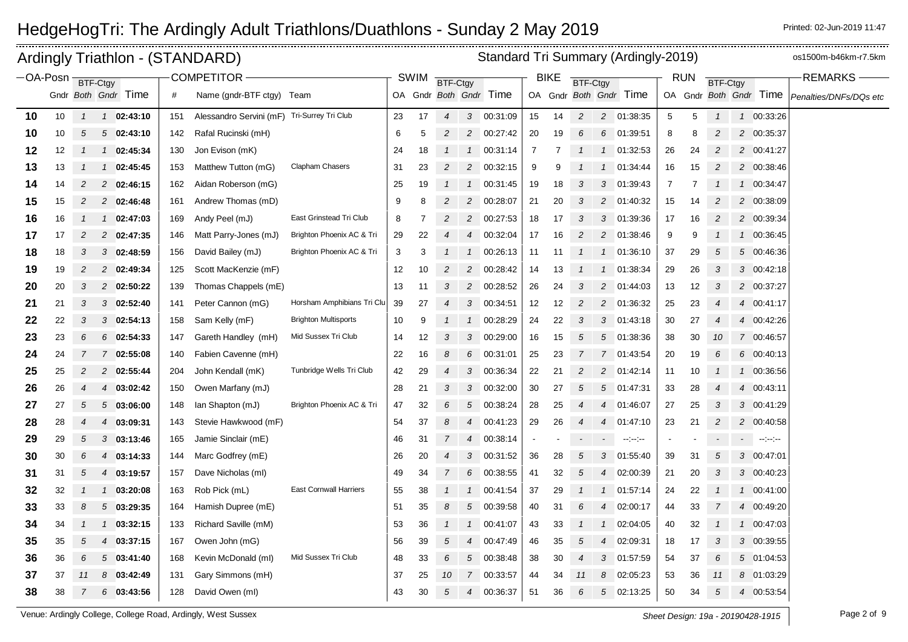|                       |    |                |                     |          |     | Ardingly Triathlon - (STANDARD)             |                               |    |             |                 |                |                        |                |             |                 |                | Standard Tri Summary (Ardingly-2019)              |                 |            |                 |                |                        | os1500m-b46km-r7.5km   |
|-----------------------|----|----------------|---------------------|----------|-----|---------------------------------------------|-------------------------------|----|-------------|-----------------|----------------|------------------------|----------------|-------------|-----------------|----------------|---------------------------------------------------|-----------------|------------|-----------------|----------------|------------------------|------------------------|
| −OA-Posn <del>-</del> |    |                | BTF-Ctav            |          |     | <b>COMPETITOR -</b>                         |                               |    | <b>SWIM</b> | <b>BTF-Ctgy</b> |                |                        |                | <b>BIKE</b> | <b>BTF-Ctgy</b> |                |                                                   |                 | <b>RUN</b> | <b>BTF-Ctgy</b> |                |                        | <b>REMARKS</b>         |
|                       |    |                | Gndr Both Gndr Time |          | #   | Name (gndr-BTF ctgy) Team                   |                               |    |             |                 |                | OA Gndr Both Gndr Time |                |             |                 |                | OA Gndr Both Gndr Time                            |                 |            |                 |                | OA Gndr Both Gndr Time | Penalties/DNFs/DQs etc |
| 10                    | 10 | $\mathcal{I}$  | 1 02:43:10          |          | 151 | Alessandro Servini (mF) Tri-Surrey Tri Club |                               | 23 | 17          | $\overline{4}$  |                | 3 00:31:09             | 15             | 14          | $\overline{c}$  |                | 2 01:38:35                                        | $5\phantom{.0}$ | 5          | $\mathcal I$    |                | 1 00:33:26             |                        |
| 10                    | 10 | 5              | 502:43:10           |          | 142 | Rafal Rucinski (mH)                         |                               | 6  | 5           | $\overline{c}$  |                | 2 00:27:42             | 20             | 19          | 6               | 6              | 01:39:51                                          | 8               | 8          | 2               |                | 2 00:35:37             |                        |
| 12                    | 12 |                | 1 02:45:34          |          | 130 | Jon Evison (mK)                             |                               | 24 | 18          |                 | $\mathcal{I}$  | 00:31:14               | $\overline{7}$ | 7           |                 | $\mathcal{I}$  | 01:32:53                                          | 26              | 24         | 2               |                | 2 00:41:27             |                        |
| 13                    | 13 |                | 1 02:45:45          |          | 153 | Matthew Tutton (mG)                         | Clapham Chasers               | 31 | 23          | $\overline{c}$  |                | 2 00:32:15             | 9              | 9           |                 |                | 1 01:34:44                                        | 16              | 15         | $\overline{c}$  |                | 2 00:38:46             |                        |
| 14                    | 14 | 2              | 2 02:46:15          |          | 162 | Aidan Roberson (mG)                         |                               | 25 | 19          | $\mathcal{I}$   |                | 1 00:31:45             | 19             | 18          | 3               | 3              | 01:39:43                                          | 7               | 7          |                 |                | 1 00:34:47             |                        |
| 15                    | 15 | $\overline{2}$ | 2 02:46:48          |          | 161 | Andrew Thomas (mD)                          |                               | 9  | 8           | 2               | $\overline{c}$ | 00:28:07               | 21             | 20          | 3               | $\overline{c}$ | 01:40:32                                          | 15              | 14         | $\overline{c}$  |                | 2 00:38:09             |                        |
| 16                    | 16 |                | 1 02:47:03          |          | 169 | Andy Peel (mJ)                              | East Grinstead Tri Club       | 8  |             |                 | $\overline{c}$ | 00:27:53               | 18             | 17          | 3               | 3              | 01:39:36                                          | 17              | 16         | $\overline{c}$  |                | 2 00:39:34             |                        |
| 17                    | 17 | $\overline{c}$ | 2 02:47:35          |          | 146 | Matt Parry-Jones (mJ)                       | Brighton Phoenix AC & Tri     | 29 | 22          |                 | 4              | 00:32:04               | 17             | 16          | 2               | 2              | 01:38:46                                          | 9               | 9          |                 |                | 1 00:36:45             |                        |
| 18                    | 18 | 3              | $3$ 02:48:59        |          | 156 | David Bailey (mJ)                           | Brighton Phoenix AC & Tri     | 3  | 3           |                 | $\mathcal{I}$  | 00:26:13               | 11             | -11         |                 | $\mathcal{I}$  | 01:36:10                                          | 37              | 29         | 5               |                | 5 00:46:36             |                        |
| 19                    | 19 | $\overline{c}$ | 2 02:49:34          |          | 125 | Scott MacKenzie (mF)                        |                               | 12 | 10          |                 | 2              | 00:28:42               | 14             | 13          |                 |                | 01:38:34                                          | 29              | 26         | 3               |                | 3 00:42:18             |                        |
| 20                    | 20 | 3              | 2 02:50:22          |          | 139 | Thomas Chappels (mE)                        |                               | 13 | 11          | 3               |                | 2 00:28:52             | 26             | 24          | 3               | $\overline{c}$ | 01:44:03                                          | 13              | 12         | $\mathfrak{3}$  |                | 2 00:37:27             |                        |
| 21                    | 21 | 3              | $3$ 02:52:40        |          | 141 | Peter Cannon (mG)                           | Horsham Amphibians Tri Clu    | 39 | 27          |                 | 3              | 00:34:51               | 12             | 12          | 2               | 2              | 01:36:32                                          | 25              | 23         | 4               |                | 4 00:41:17             |                        |
| 22                    | 22 | 3              | $3$ 02:54:13        |          | 158 | Sam Kelly (mF)                              | <b>Brighton Multisports</b>   | 10 | 9           |                 | $\mathcal{I}$  | 00:28:29               | 24             | 22          | 3               | 3              | 01:43:18                                          | 30              | 27         |                 | $\overline{4}$ | 00:42:26               |                        |
| 23                    | 23 | 6              | $6$ 02:54:33        |          | 147 | Gareth Handley (mH)                         | Mid Sussex Tri Club           | 14 | 12          | 3               |                | 3 00:29:00             | 16             | 15          | 5               | 5              | 01:38:36                                          | 38              | 30         | 10              |                | 7 00:46:57             |                        |
| 24                    | 24 | 7              | 7 02:55:08          |          | 140 | Fabien Cavenne (mH)                         |                               | 22 | 16          | 8               | 6              | 00:31:01               | 25             | 23          | 7               | $\overline{7}$ | 01:43:54                                          | 20              | 19         | 6               |                | 6 00:40:13             |                        |
| 25                    | 25 | $\overline{c}$ | 2 02:55:44          |          | 204 | John Kendall (mK)                           | Tunbridge Wells Tri Club      | 42 | 29          | 4               | 3              | 00:36:34               | 22             | 21          | 2               | 2              | 01:42:14                                          | 11              | 10         |                 | $\mathcal{I}$  | 00:36:56               |                        |
| 26                    | 26 |                | 4 03:02:42          |          | 150 | Owen Marfany (mJ)                           |                               | 28 | 21          | 3               | 3              | 00:32:00               | 30             | 27          | 5               | 5              | 01:47:31                                          | 33              | 28         |                 |                | 4 00:43:11             |                        |
| 27                    | 27 | 5              | 503:06:00           |          | 148 | lan Shapton (mJ)                            | Brighton Phoenix AC & Tri     | 47 | 32          | 6               | 5              | 00:38:24               | 28             | 25          |                 | 4              | 01:46:07                                          | 27              | 25         | 3               |                | 3 00:41:29             |                        |
| 28                    | 28 | $\overline{4}$ | 4 03:09:31          |          | 143 | Stevie Hawkwood (mF)                        |                               | 54 | 37          | 8               | 4              | 00:41:23               | 29             | 26          |                 | $\overline{4}$ | 01:47:10                                          | 23              | 21         | 2               |                | 2 00:40:58             |                        |
| 29                    | 29 | 5              | $3$ 03:13:46        |          | 165 | Jamie Sinclair (mE)                         |                               | 46 | 31          |                 | 4              | 00:38:14               | $\blacksquare$ |             |                 |                | $\frac{1}{2}$ and $\frac{1}{2}$ and $\frac{1}{2}$ |                 |            |                 |                | الموسوعات المراد       |                        |
| 30                    | 30 | 6              | 4 03:14:33          |          | 144 | Marc Godfrey (mE)                           |                               | 26 | 20          |                 | 3              | 00:31:52               | 36             | 28          | 5               | 3              | 01:55:40                                          | 39              | 31         | 5               |                | 3 00:47:01             |                        |
| 31                    | 31 | 5              | 4 03:19:57          |          | 157 | Dave Nicholas (ml)                          |                               | 49 | 34          | $\overline{7}$  | 6              | 00:38:55               | 41             | 32          | 5               | 4              | 02:00:39                                          | 21              | 20         | 3               |                | 3 00:40:23             |                        |
| 32                    | 32 |                | 1 03:20:08          |          | 163 | Rob Pick (mL)                               | <b>East Cornwall Harriers</b> | 55 | 38          |                 | $\mathcal{I}$  | 00:41:54               | 37             | 29          |                 |                | 01:57:14                                          | 24              | 22         |                 |                | 1 00:41:00             |                        |
| 33                    | 33 | 8              | $5$ 03:29:35        |          | 164 | Hamish Dupree (mE)                          |                               | 51 | 35          | 8               |                | 5 00:39:58             | 40             | 31          | 6               | 4              | 02:00:17                                          | 44              | 33         |                 |                | 4 00:49:20             |                        |
| 34                    | 34 |                | $\mathcal{I}$       | 03:32:15 | 133 | Richard Saville (mM)                        |                               | 53 | 36          |                 | $\mathcal{I}$  | 00:41:07               | 43             | 33          |                 | $\mathbf{1}$   | 02:04:05                                          | 40              | 32         |                 |                | 1 00:47:03             |                        |
| 35                    | 35 | 5              | 4 03:37:15          |          | 167 | Owen John (mG)                              |                               | 56 | 39          | 5               | 4              | 00:47:49               | 46             | 35          | 5               | 4              | 02:09:31                                          | 18              | 17         | 3               |                | 3 00:39:55             |                        |
| 36                    | 36 | 6              | 503:41:40           |          | 168 | Kevin McDonald (ml)                         | Mid Sussex Tri Club           | 48 | 33          | 6               | 5              | 00:38:48               | 38             | 30          |                 | 3              | 01:57:59                                          | 54              | 37         | 6               |                | 5 01:04:53             |                        |
| 37                    | 37 | 11             | 8 03:42:49          |          | 131 | Gary Simmons (mH)                           |                               | 37 | 25          | 10              | $\overline{7}$ | 00:33:57               | 44             | 34          | 11              | 8              | 02:05:23                                          | 53              | 36         | 11              |                | 8 01:03:29             |                        |
| 38                    | 38 | 7              | $6$ 03:43:56        |          | 128 | David Owen (ml)                             |                               | 43 | 30          | 5               | $\overline{4}$ | 00:36:37               | 51             | 36          | 6               | 5              | 02:13:25                                          | 50              | 34         | 5               |                | 4 00:53:54             |                        |

Venue: Ardingly College, College Road, Ardingly, West Sussex **Sheet Design: 19a - 20190428-1915** Page 2 of 9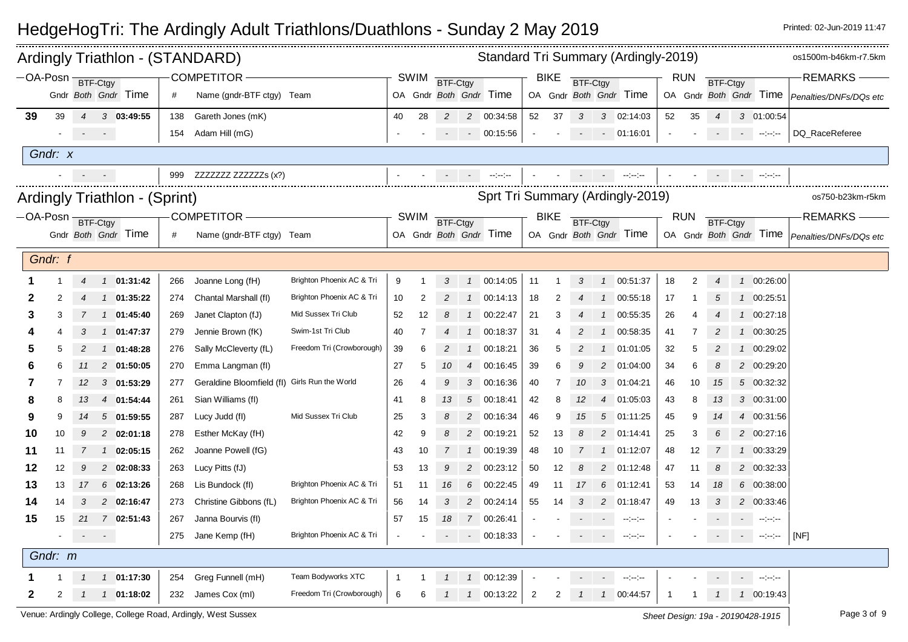|                  |                   |                           | Ardingly Triathlon - (STANDARD) |     |                                               |                           |             |                |                 |                 | Standard Tri Summary (Ardingly-2019) |                |             |                 |                |                        |              |            |                |                          |                                                                                                                                                                                                                                                                                                                                                                                                                                                                                                                                                         | os1500m-b46km-r7.5km                            |
|------------------|-------------------|---------------------------|---------------------------------|-----|-----------------------------------------------|---------------------------|-------------|----------------|-----------------|-----------------|--------------------------------------|----------------|-------------|-----------------|----------------|------------------------|--------------|------------|----------------|--------------------------|---------------------------------------------------------------------------------------------------------------------------------------------------------------------------------------------------------------------------------------------------------------------------------------------------------------------------------------------------------------------------------------------------------------------------------------------------------------------------------------------------------------------------------------------------------|-------------------------------------------------|
| OA-Posn BTF-Ctgy |                   |                           |                                 |     | <b>COMPETITOR</b>                             |                           |             | <b>SWIM</b>    | <b>BTF-Ctgy</b> |                 |                                      |                | <b>BIKE</b> | <b>BTF-Ctgy</b> |                |                        |              | <b>RUN</b> | BTF-Ctgy       |                          |                                                                                                                                                                                                                                                                                                                                                                                                                                                                                                                                                         | <b>REMARKS</b>                                  |
|                  |                   |                           | Gndr Both Gndr Time             | #   | Name (gndr-BTF ctgy) Team                     |                           |             |                |                 |                 | OA Gndr Both Gndr Time               |                |             |                 |                | OA Gndr Both Gndr Time |              |            |                |                          | OA Gndr Both Gndr Time                                                                                                                                                                                                                                                                                                                                                                                                                                                                                                                                  | Penalties/DNFs/DQs etc                          |
| 39               | 39                | $\overline{4}$            | $3$ 03:49:55                    | 138 | Gareth Jones (mK)                             |                           | 40          | 28             | 2               |                 | 2 00:34:58                           | 52             | 37          | 3               |                | 3 02:14:03             | 52           | 35         | $\overline{4}$ |                          | 3 01:00:54                                                                                                                                                                                                                                                                                                                                                                                                                                                                                                                                              |                                                 |
|                  |                   | $\sigma_{\rm{max}}=0.000$ |                                 | 154 | Adam Hill (mG)                                |                           |             |                |                 |                 | $-00:15.56$                          | $\bullet$      |             | $\sim$          |                | $-01:16:01$            |              |            | $\sim$ $-$     |                          | المواسع معارضات المرادي                                                                                                                                                                                                                                                                                                                                                                                                                                                                                                                                 | DQ RaceReferee                                  |
|                  | Gndr: x           |                           |                                 |     |                                               |                           |             |                |                 |                 |                                      |                |             |                 |                |                        |              |            |                |                          |                                                                                                                                                                                                                                                                                                                                                                                                                                                                                                                                                         |                                                 |
|                  |                   |                           | $\sim$                          | 999 | ZZZZZZZ ZZZZZZS (x?)                          |                           |             |                |                 |                 | $\sim 10^{11}$                       |                |             |                 |                | المواسوسي              |              |            |                |                          | <b>The Contractor</b>                                                                                                                                                                                                                                                                                                                                                                                                                                                                                                                                   |                                                 |
|                  |                   |                           |                                 |     |                                               |                           |             |                |                 |                 | Sprt Tri Summary (Ardingly-2019)     |                |             |                 |                |                        |              |            |                |                          |                                                                                                                                                                                                                                                                                                                                                                                                                                                                                                                                                         | os750-b23km-r5km                                |
|                  |                   |                           | Ardingly Triathlon - (Sprint)   |     |                                               |                           |             |                |                 |                 |                                      |                |             |                 |                |                        |              |            |                |                          |                                                                                                                                                                                                                                                                                                                                                                                                                                                                                                                                                         |                                                 |
|                  | -OA-Posn BTF-Ctgy |                           |                                 |     | <b>COMPETITOR</b>                             |                           |             | SWIM           | BTF-Ctgy        |                 |                                      |                | <b>BIKE</b> | BTF-Ctgy        |                |                        |              | <b>RUN</b> | BTF-Ctgy       |                          |                                                                                                                                                                                                                                                                                                                                                                                                                                                                                                                                                         | <b>REMARKS</b>                                  |
|                  |                   |                           | Gndr Both Gndr Time             | #   | Name (gndr-BTF ctgy) Team                     |                           |             |                |                 |                 | OA Gndr Both Gndr Time               |                |             |                 |                | OA Gndr Both Gndr Time |              |            |                |                          |                                                                                                                                                                                                                                                                                                                                                                                                                                                                                                                                                         | OA Gndr Both Gndr Time   Penalties/DNFs/DQs etc |
|                  | Gndr: f           |                           |                                 |     |                                               |                           |             |                |                 |                 |                                      |                |             |                 |                |                        |              |            |                |                          |                                                                                                                                                                                                                                                                                                                                                                                                                                                                                                                                                         |                                                 |
|                  |                   | 4                         | 1 01:31:42                      | 266 | Joanne Long (fH)                              | Brighton Phoenix AC & Tri | 9           |                | 3               |                 | 1 00:14:05                           | 11             |             | 3               |                | 1 00:51:37             | 18           | 2          | 4              |                          | 1 00:26:00                                                                                                                                                                                                                                                                                                                                                                                                                                                                                                                                              |                                                 |
| 2                | 2                 |                           | $1$ 01:35:22                    | 274 | Chantal Marshall (fl)                         | Brighton Phoenix AC & Tri | 10          | $\overline{2}$ | $\overline{c}$  |                 | 1 00:14:13                           | 18             | 2           |                 | $\overline{1}$ | 00:55:18               | 17           |            | 5              |                          | 1 00:25:51                                                                                                                                                                                                                                                                                                                                                                                                                                                                                                                                              |                                                 |
| 3                | 3                 |                           | 1 01:45:40                      | 269 | Janet Clapton (fJ)                            | Mid Sussex Tri Club       | 52          | 12             | 8               |                 | 1 00:22:47                           | 21             | 3           |                 | $\overline{1}$ | 00:55:35               | 26           |            |                | $\mathbf{1}$             | 00:27:18                                                                                                                                                                                                                                                                                                                                                                                                                                                                                                                                                |                                                 |
|                  |                   | 3                         | 1 01:47:37                      | 279 | Jennie Brown (fK)                             | Swim-1st Tri Club         | 40          | 7              |                 | $\overline{1}$  | 00:18:37                             | 31             |             |                 |                | 00:58:35               | 41           |            | $\overline{c}$ | $\mathcal{I}$            | 00:30:25                                                                                                                                                                                                                                                                                                                                                                                                                                                                                                                                                |                                                 |
| 5                | 5                 |                           | 1 01:48:28                      | 276 | Sally McCleverty (fL)                         | Freedom Tri (Crowborough) | 39          | 6              |                 |                 | 1 00:18:21                           | 36             | 5           |                 | $\overline{1}$ | 01:01:05               | 32           | 5          |                |                          | 1 00:29:02                                                                                                                                                                                                                                                                                                                                                                                                                                                                                                                                              |                                                 |
| 6                | 6                 | 11                        | 2 01:50:05                      | 270 | Emma Langman (fl)                             |                           | 27          | -5             | 10              | $\overline{4}$  | 00:16:45                             | 39             | 6           | 9               | $\overline{2}$ | 01:04:00               | 34           | 6          | 8              |                          | 2 00:29:20                                                                                                                                                                                                                                                                                                                                                                                                                                                                                                                                              |                                                 |
| 7                |                   | 12                        | $3$ 01:53:29                    | 277 | Geraldine Bloomfield (fl) Girls Run the World |                           | 26          | $\overline{4}$ | 9               | $\mathcal{S}$   | 00:16:36                             | 40             | 7           | 10              | $\mathcal{S}$  | 01:04:21               | 46           | 10         | 15             |                          | 5 00:32:32                                                                                                                                                                                                                                                                                                                                                                                                                                                                                                                                              |                                                 |
| 8                | 8                 | 13                        | 4 01:54:44                      | 261 | Sian Williams (fl)                            |                           | 41          | -8             | 13              | $5\overline{5}$ | 00:18:41                             | 42             | 8           | 12              | $\overline{4}$ | 01:05:03               | 43           | 8          | 13             |                          | 3 00:31:00                                                                                                                                                                                                                                                                                                                                                                                                                                                                                                                                              |                                                 |
| 9                | 9                 | 14                        | 501:59:55                       | 287 | Lucy Judd (fl)                                | Mid Sussex Tri Club       | 25          | 3              | 8               |                 | 2 00:16:34                           | 46             | 9           | 15              | 5              | 01:11:25               | 45           | 9          | 14             |                          | 4 00:31:56                                                                                                                                                                                                                                                                                                                                                                                                                                                                                                                                              |                                                 |
| 10               | 10                | 9                         | 2 02:01:18                      | 278 | Esther McKay (fH)                             |                           | 42          | 9              | 8               | $\overline{2}$  | 00:19:21                             | 52             | 13          | 8               | $\overline{c}$ | 01:14:41               | 25           | 3          | 6              |                          | 2 00:27:16                                                                                                                                                                                                                                                                                                                                                                                                                                                                                                                                              |                                                 |
| 11               | 11                | 7                         | $1$ 02:05:15                    | 262 | Joanne Powell (fG)                            |                           | 43          | 10             | 7               |                 | 1 00:19:39                           | 48             | 10          |                 | $\mathcal{I}$  | 01:12:07               | 48           | 12         | 7              |                          | 1 00:33:29                                                                                                                                                                                                                                                                                                                                                                                                                                                                                                                                              |                                                 |
| 12               | 12                | 9                         | 2 02:08:33                      | 263 | Lucy Pitts (fJ)                               |                           | 53          | 13             | 9               |                 | 2 00:23:12                           | 50             | 12          |                 | 2              | 01:12:48               | 47           | 11         | 8              |                          | 2 00:32:33                                                                                                                                                                                                                                                                                                                                                                                                                                                                                                                                              |                                                 |
| 13               | 13                | 17                        | $6$ 02:13:26                    | 268 | Lis Bundock (fl)                              | Brighton Phoenix AC & Tri | 51          | 11             | 16              | 6               | 00:22:45                             | 49             | 11          | 17              | 6              | 01:12:41               | 53           | 14         | 18             |                          | 6 00:38:00                                                                                                                                                                                                                                                                                                                                                                                                                                                                                                                                              |                                                 |
| 14               | 14                | 3                         | 2 02:16:47                      | 273 | Christine Gibbons (fL)                        | Brighton Phoenix AC & Tri | 56          | 14             | 3               | $\overline{2}$  | 00:24:14                             | 55             | 14          | 3               | $\overline{2}$ | 01:18:47               | 49           | 13         | 3              |                          | 2 00:33:46                                                                                                                                                                                                                                                                                                                                                                                                                                                                                                                                              |                                                 |
| 15               | 15                | 21                        | 7 02:51:43                      | 267 | Janna Bourvis (fl)                            |                           | 57          | 15             | 18              |                 | 7 00:26:41                           |                |             |                 |                | $\sim$ $\sim$          |              |            |                | $\overline{\phantom{a}}$ | $\sim$ $\sim$                                                                                                                                                                                                                                                                                                                                                                                                                                                                                                                                           |                                                 |
|                  |                   |                           | $\sigma_{\rm{max}}=0.5$         | 275 | Jane Kemp (fH)                                | Brighton Phoenix AC & Tri |             |                |                 |                 | $- 00:18:33$                         |                |             | $\sim$          |                | $\sim$ $\sim$          |              |            |                | $\sim 100$               | $\label{eq:3} \begin{split} \mathcal{L}_{\text{max}}(\mathcal{L}_{\text{max}}(\mathcal{L}_{\text{max}})) = \mathcal{L}_{\text{max}}(\mathcal{L}_{\text{max}}(\mathcal{L}_{\text{max}})) \end{split}$                                                                                                                                                                                                                                                                                                                                                    | [NF]                                            |
|                  | Gndr: m           |                           |                                 |     |                                               |                           |             |                |                 |                 |                                      |                |             |                 |                |                        |              |            |                |                          |                                                                                                                                                                                                                                                                                                                                                                                                                                                                                                                                                         |                                                 |
|                  |                   |                           | 1 01:17:30                      | 254 | Greg Funnell (mH)                             | Team Bodyworks XTC        | $\mathbf 1$ |                |                 |                 | 1 00:12:39                           |                |             |                 | $\sim$         | $\sim 100$ km $^{-1}$  |              |            |                | $\sim$ $-$               | $\begin{split} \begin{minipage}{0.5\textwidth} \centering \end{minipage} \begin{minipage}{0.5\textwidth} \centering \begin{minipage}{0.5\textwidth} \centering \end{minipage} \end{minipage} \begin{minipage}{0.5\textwidth} \centering \begin{minipage}{0.5\textwidth} \centering \end{minipage} \end{minipage} \begin{minipage}{0.5\textwidth} \centering \end{minipage} \caption{Example of \textit{Stab} and \textit{Stab} are the \textit{Stab} and \textit{Stab} are the \textit{Stab} and \textit{Stab} are the \textit{Stab} and \textit{Stab}$ |                                                 |
| 2                | 2                 |                           | $1$ 01:18:02                    | 232 | James Cox (ml)                                | Freedom Tri (Crowborough) | 6           | 6              |                 |                 | 1 00:13:22                           | $\overline{2}$ | 2           |                 |                | 1 00:44:57             | $\mathbf{1}$ |            | $\mathcal{I}$  |                          | 1 00:19:43                                                                                                                                                                                                                                                                                                                                                                                                                                                                                                                                              |                                                 |
|                  |                   |                           |                                 |     |                                               |                           |             |                |                 |                 |                                      |                |             |                 |                |                        |              |            |                |                          |                                                                                                                                                                                                                                                                                                                                                                                                                                                                                                                                                         |                                                 |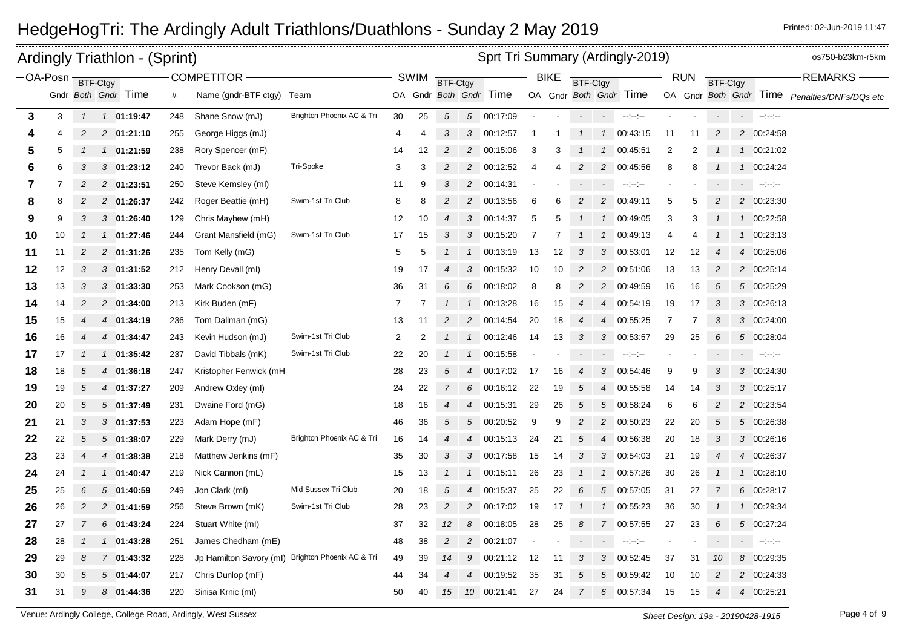|          |    |                | <b>Ardingly Triathlon - (Sprint)</b> |     |                           |                                                   |                |             |                 |                |                        |    |                   |              |                | Sprt Tri Summary (Ardingly-2019) |                          |                |                          |                          |                                                                                                                                                                                                                                                                                                                                                                                                                                                            | os750-b23km-r5km       |
|----------|----|----------------|--------------------------------------|-----|---------------------------|---------------------------------------------------|----------------|-------------|-----------------|----------------|------------------------|----|-------------------|--------------|----------------|----------------------------------|--------------------------|----------------|--------------------------|--------------------------|------------------------------------------------------------------------------------------------------------------------------------------------------------------------------------------------------------------------------------------------------------------------------------------------------------------------------------------------------------------------------------------------------------------------------------------------------------|------------------------|
| -OA-Posn |    |                | BTF-Ctgy                             |     | COMPETITOR -              |                                                   |                | <b>SWIM</b> | <b>BTF-Ctgy</b> |                |                        |    | <b>BIKE</b>       | BTF-Ctgy     |                |                                  |                          | <b>RUN</b>     | <b>BTF-Ctgy</b>          |                          |                                                                                                                                                                                                                                                                                                                                                                                                                                                            | <b>REMARKS</b>         |
|          |    |                | Gndr Both Gndr Time                  | #   | Name (gndr-BTF ctgy) Team |                                                   |                |             |                 |                | OA Gndr Both Gndr Time |    |                   |              |                | OA Gndr Both Gndr Time           |                          |                |                          |                          | OA Gndr Both Gndr Time                                                                                                                                                                                                                                                                                                                                                                                                                                     | Penalties/DNFs/DQs etc |
| 3        | 3  | $\mathbf{1}$   | 1 01:19:47                           | 248 | Shane Snow (mJ)           | Brighton Phoenix AC & Tri                         | 30             | 25          | 5               |                | 5 00:17:09             |    |                   |              |                | $\sim$ $\sim$                    |                          |                |                          |                          | $\mathcal{O}(\sigma)$ , and $\mathcal{O}(\sigma)$                                                                                                                                                                                                                                                                                                                                                                                                          |                        |
|          |    | 2              | 2 01:21:10                           | 255 | George Higgs (mJ)         |                                                   | 4              | 4           | 3               |                | 3 00:12:57             |    |                   |              | $\overline{1}$ | 00:43:15                         | 11                       | 11             | $\overline{c}$           |                          | 2 00:24:58                                                                                                                                                                                                                                                                                                                                                                                                                                                 |                        |
| 5        | 5  |                | 1 01:21:59                           | 238 | Rory Spencer (mF)         |                                                   | 14             | 12          | 2               |                | 2 00:15:06             | 3  | 3                 |              | $\overline{1}$ | 00:45:51                         | $\overline{c}$           | 2              |                          |                          | 1 00:21:02                                                                                                                                                                                                                                                                                                                                                                                                                                                 |                        |
| 6        | 6  | 3              | $3$ 01:23:12                         | 240 | Trevor Back (mJ)          | Tri-Spoke                                         | 3              | 3           | 2               | $\overline{2}$ | 00:12:52               | 4  |                   | 2            | $\overline{c}$ | 00:45:56                         | 8                        |                |                          |                          | 1 00:24:24                                                                                                                                                                                                                                                                                                                                                                                                                                                 |                        |
| 7        |    |                | 2 01:23:51                           | 250 | Steve Kemsley (ml)        |                                                   | 11             | 9           |                 | $\overline{2}$ | 00:14:31               |    |                   |              |                | $\sim$ 100 $\sim$                | $\overline{\phantom{a}}$ |                |                          | $\overline{\phantom{a}}$ | $\label{eq:3} \mathcal{L} = \mathcal{L} \mathcal{L} \mathcal{L} \mathcal{L} \mathcal{L} \mathcal{L} \mathcal{L} \mathcal{L} \mathcal{L} \mathcal{L} \mathcal{L} \mathcal{L} \mathcal{L} \mathcal{L} \mathcal{L} \mathcal{L} \mathcal{L} \mathcal{L} \mathcal{L} \mathcal{L} \mathcal{L} \mathcal{L} \mathcal{L} \mathcal{L} \mathcal{L} \mathcal{L} \mathcal{L} \mathcal{L} \mathcal{L} \mathcal{L} \mathcal{L} \mathcal{L} \mathcal{L} \mathcal{L} \math$ |                        |
| 8        | 8  | 2              | 2 01:26:37                           | 242 | Roger Beattie (mH)        | Swim-1st Tri Club                                 | 8              | 8           | 2               |                | 2 00:13:56             | 6  | 6                 | 2            | $\overline{c}$ | 00:49:11                         | 5                        | 5              | $\overline{c}$           |                          | 2 00:23:30                                                                                                                                                                                                                                                                                                                                                                                                                                                 |                        |
| 9        | 9  | 3              | 301:26:40                            | 129 | Chris Mayhew (mH)         |                                                   | 12             | 10          | 4               | 3              | 00:14:37               | 5  | 5                 |              | $\mathbf{1}$   | 00:49:05                         | 3                        | 3              |                          |                          | 1 00:22:58                                                                                                                                                                                                                                                                                                                                                                                                                                                 |                        |
| 10       | 10 |                | 1 01:27:46                           | 244 | Grant Mansfield (mG)      | Swim-1st Tri Club                                 | 17             | 15          | 3               | 3              | 00:15:20               | 7  |                   |              | $\mathbf{1}$   | 00:49:13                         | 4                        |                |                          | $\mathcal{I}$            | 00:23:13                                                                                                                                                                                                                                                                                                                                                                                                                                                   |                        |
| 11       | 11 | $\overline{c}$ | 2 01:31:26                           | 235 | Tom Kelly (mG)            |                                                   | 5              | 5           |                 |                | 1 00:13:19             | 13 | $12 \overline{ }$ | 3            | $\mathbf{3}$   | 00:53:01                         | 12                       | 12             |                          |                          | 4 00:25:06                                                                                                                                                                                                                                                                                                                                                                                                                                                 |                        |
| 12       | 12 | 3              | $3$ 01:31:52                         | 212 | Henry Devall (ml)         |                                                   | 19             | 17          |                 |                | 3 00:15:32             | 10 | 10                | 2            | $\overline{c}$ | 00:51:06                         | 13                       | 13             | 2                        |                          | 2 00:25:14                                                                                                                                                                                                                                                                                                                                                                                                                                                 |                        |
| 13       | 13 | 3              | $3$ 01:33:30                         | 253 | Mark Cookson (mG)         |                                                   | 36             | 31          | 6               | 6              | 00:18:02               | 8  | 8                 | 2            | 2              | 00:49:59                         | 16                       | 16             | 5                        |                          | 5 00:25:29                                                                                                                                                                                                                                                                                                                                                                                                                                                 |                        |
| 14       | 14 | 2              | 2 01:34:00                           | 213 | Kirk Buden (mF)           |                                                   | 7              |             |                 |                | 1 00:13:28             | 16 | 15                |              | 4              | 00:54:19                         | 19                       | 17             | 3                        |                          | 3 00:26:13                                                                                                                                                                                                                                                                                                                                                                                                                                                 |                        |
| 15       | 15 |                | 4 01:34:19                           | 236 | Tom Dallman (mG)          |                                                   | 13             | 11          | 2               |                | 2 00:14:54             | 20 | 18                |              | 4              | 00:55:25                         | $\overline{7}$           | $\overline{7}$ | 3                        |                          | 3 00:24:00                                                                                                                                                                                                                                                                                                                                                                                                                                                 |                        |
| 16       | 16 | 4              | 01:34:47<br>4                        | 243 | Kevin Hudson (mJ)         | Swim-1st Tri Club                                 | $\overline{2}$ | 2           |                 |                | 1 00:12:46             | 14 | 13                | 3            | 3              | 00:53:57                         | 29                       | 25             | 6                        |                          | 5 00:28:04                                                                                                                                                                                                                                                                                                                                                                                                                                                 |                        |
| 17       | 17 |                | 1 01:35:42                           | 237 | David Tibbals (mK)        | Swim-1st Tri Club                                 | 22             | 20          |                 | $\mathcal{I}$  | 00:15:58               |    |                   |              |                | $\sim$ $\sim$                    |                          |                |                          | $\sim 100$               | $\sim 10^{11}$                                                                                                                                                                                                                                                                                                                                                                                                                                             |                        |
| 18       | 18 | 5              | 4 01:36:18                           | 247 | Kristopher Fenwick (mH    |                                                   | 28             | 23          | 5               |                | 4 00:17:02             | 17 | 16                |              | 3              | 00:54:46                         | 9                        | 9              | 3                        |                          | 3 00:24:30                                                                                                                                                                                                                                                                                                                                                                                                                                                 |                        |
| 19       | 19 | 5              | 4 01:37:27                           | 209 | Andrew Oxley (ml)         |                                                   | 24             | 22          | $\overline{7}$  | 6              | 00:16:12               | 22 | 19                | 5            | 4              | 00:55:58                         | 14                       | 14             | 3                        |                          | 3 00:25:17                                                                                                                                                                                                                                                                                                                                                                                                                                                 |                        |
| 20       | 20 | 5              | 501:37:49                            | 231 | Dwaine Ford (mG)          |                                                   | 18             | 16          | $\overline{4}$  |                | 4 00:15:31             | 29 | 26                | 5            | 5              | 00:58:24                         | 6                        | 6              | $\overline{c}$           |                          | 2 00:23:54                                                                                                                                                                                                                                                                                                                                                                                                                                                 |                        |
| 21       | 21 | 3              | $3$ 01:37:53                         | 223 | Adam Hope (mF)            |                                                   | 46             | 36          | 5               | 5              | 00:20:52               | 9  | 9                 |              | 2              | 00:50:23                         | 22                       | 20             | 5                        |                          | 5 00:26:38                                                                                                                                                                                                                                                                                                                                                                                                                                                 |                        |
| 22       | 22 | 5              | 501:38:07                            | 229 | Mark Derry (mJ)           | Brighton Phoenix AC & Tri                         | 16             | 14          | 4               |                | 4 00:15:13             | 24 | 21                | 5            | $\overline{4}$ | 00:56:38                         | 20                       | 18             | 3                        |                          | 3 00:26:16                                                                                                                                                                                                                                                                                                                                                                                                                                                 |                        |
| 23       | 23 | 4              | 4 01:38:38                           | 218 | Matthew Jenkins (mF)      |                                                   | 35             | 30          | 3               | 3              | 00:17:58               | 15 | 14                | 3            | 3              | 00:54:03                         | 21                       | 19             | $\overline{4}$           |                          | 4 00:26:37                                                                                                                                                                                                                                                                                                                                                                                                                                                 |                        |
| 24       | 24 | $\mathcal I$   | 1 01:40:47                           | 219 | Nick Cannon (mL)          |                                                   | 15             | 13          | $\mathcal I$    | $\mathcal{I}$  | 00:15:11               | 26 | 23                |              | $\mathcal I$   | 00:57:26                         | 30                       | 26             |                          |                          | 1 00:28:10                                                                                                                                                                                                                                                                                                                                                                                                                                                 |                        |
| 25       | 25 | 6              | 5 01:40:59                           | 249 | Jon Clark (ml)            | Mid Sussex Tri Club                               | 20             | 18          | 5               |                | 4 00:15:37             | 25 | 22                |              | 5              | 00:57:05                         | 31                       | 27             |                          |                          | 6 00:28:17                                                                                                                                                                                                                                                                                                                                                                                                                                                 |                        |
| 26       | 26 | $\overline{c}$ | 2 01:41:59                           | 256 | Steve Brown (mK)          | Swim-1st Tri Club                                 | 28             | 23          | $\overline{c}$  |                | 2 00:17:02             | 19 | 17                | $\mathcal I$ | $\mathcal{I}$  | 00:55:23                         | 36                       | 30             |                          |                          | 1 00:29:34                                                                                                                                                                                                                                                                                                                                                                                                                                                 |                        |
| 27       | 27 | 7              | 6 01:43:24                           | 224 | Stuart White (ml)         |                                                   | 37             | 32          | 12              | 8              | 00:18:05               | 28 | 25                | 8            | $\overline{7}$ | 00:57:55                         | 27                       | 23             | 6                        |                          | 5 00:27:24                                                                                                                                                                                                                                                                                                                                                                                                                                                 |                        |
| 28       | 28 |                | 01:43:28<br>$\mathcal{I}$            | 251 | James Chedham (mE)        |                                                   | 48             | 38          | 2               | $\overline{c}$ | 00:21:07               |    |                   |              |                | $\sim$ $\sim$                    | $\blacksquare$           |                |                          | $\overline{\phantom{a}}$ | $\sim$ $ -$                                                                                                                                                                                                                                                                                                                                                                                                                                                |                        |
| 29       | 29 | 8              | 7 01:43:32                           | 228 |                           | Jp Hamilton Savory (ml) Brighton Phoenix AC & Tri | 49             | 39          | 14              |                | 9 00:21:12             | 12 | 11                | 3            | 3              | 00:52:45                         | 37                       | 31             | 10                       |                          | 8 00:29:35                                                                                                                                                                                                                                                                                                                                                                                                                                                 |                        |
| 30       | 30 | 5              | 01:44:07<br>$5^{\circ}$              | 217 | Chris Dunlop (mF)         |                                                   | 44             | 34          |                 | 4              | 00:19:52               | 35 | 31                | 5            | 5              | 00:59:42                         | 10                       | 10             | 2                        |                          | 2 00:24:33                                                                                                                                                                                                                                                                                                                                                                                                                                                 |                        |
| 31       | 31 | 9              | 8 01:44:36                           | 220 | Sinisa Krnic (ml)         |                                                   | 50             | 40          | 15              |                | 10 00:21:41            | 27 | 24                |              | 6              | 00:57:34                         | 15                       | 15             | $\overline{\mathcal{A}}$ |                          | 4 00:25:21                                                                                                                                                                                                                                                                                                                                                                                                                                                 |                        |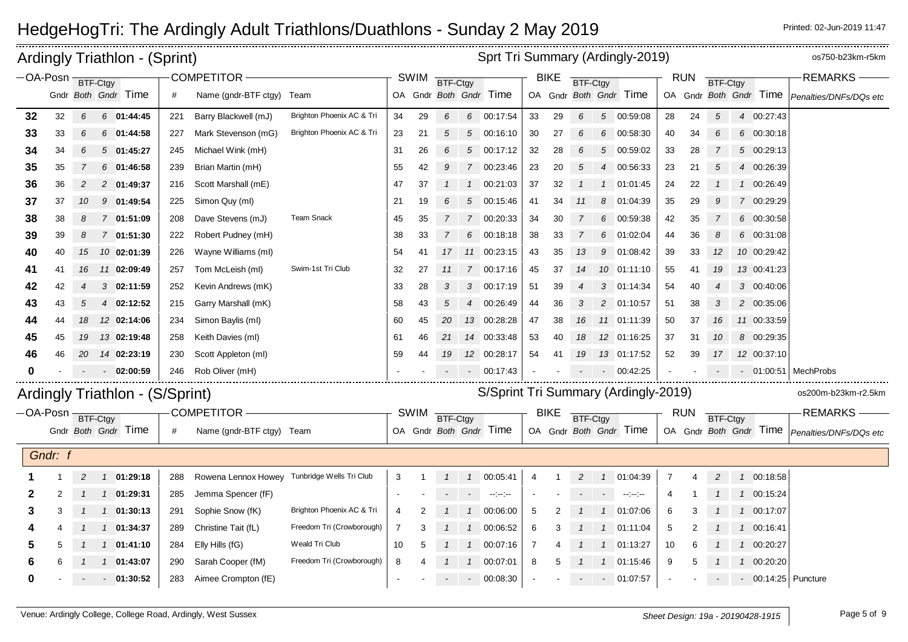|                   |         |    | <b>Ardingly Triathlon - (Sprint)</b> |     |                                              |                           |                |             |                |                | Sprt Tri Summary (Ardingly-2019)     |    |             |                 |                 |                                                   |                |            |                |               |                        | os750-b23km-r5km       |
|-------------------|---------|----|--------------------------------------|-----|----------------------------------------------|---------------------------|----------------|-------------|----------------|----------------|--------------------------------------|----|-------------|-----------------|-----------------|---------------------------------------------------|----------------|------------|----------------|---------------|------------------------|------------------------|
| -OA-Posn BTF-Ctgy |         |    |                                      |     | COMPETITOR -                                 |                           |                | <b>SWIM</b> | BTF-Ctgy       |                |                                      |    | <b>BIKE</b> | <b>BTF-Ctgy</b> |                 |                                                   |                | <b>RUN</b> | BTF-Ctgy       |               |                        | <b>REMARKS</b>         |
|                   |         |    | Gndr Both Gndr Time                  | #   | Name (gndr-BTF ctgy) Team                    |                           |                |             |                |                | OA Gndr Both Gndr Time               |    |             |                 |                 | OA Gndr Both Gndr Time                            |                |            |                |               | OA Gndr Both Gndr Time | Penalties/DNFs/DQs etc |
| 32                | 32      | 6  | 6 01:44:45                           | 221 | Barry Blackwell (mJ)                         | Brighton Phoenix AC & Tri | 34             | 29          | 6              |                | 6 00:17:54                           | 33 | 29          | 6               | $5\overline{)}$ | 00:59:08                                          | 28             | 24         | $\sqrt{5}$     |               | 4 00:27:43             |                        |
| 33                | 33      | 6  | $6$ 01:44:58                         | 227 | Mark Stevenson (mG)                          | Brighton Phoenix AC & Tri | 23             | 21          | 5              |                | 5 00:16:10                           | 30 | 27          | 6               | 6               | 00:58:30                                          | 40             | 34         | 6              |               | 6 00:30:18             |                        |
| 34                | 34      | 6  | $5$ 01:45:27                         | 245 | Michael Wink (mH)                            |                           | 31             | 26          | 6              |                | 5 00:17:12                           | 32 | 28          | 6               | 5               | 00:59:02                                          | 33             | 28         | 7              |               | 5 00:29:13             |                        |
| 35                | 35      |    | $6$ 01:46:58                         | 239 | Brian Martin (mH)                            |                           | 55             | 42          | 9              |                | 7 00:23:46                           | 23 | 20          | 5               | $\overline{4}$  | 00:56:33                                          | 23             | 21         | 5              |               | 4 00:26:39             |                        |
| 36                | 36      |    | 2 01:49:37                           | 216 | Scott Marshall (mE)                          |                           | 47             | 37          |                |                | 1 00:21:03                           | 37 | 32          |                 |                 | 01:01:45                                          | 24             | 22         |                |               | 1 00:26:49             |                        |
| 37                | 37      | 10 | 01:49:54<br>9                        | 225 | Simon Quy (ml)                               |                           | 21             | 19          | 6              | $5^{\circ}$    | 00:15:46                             | 41 | 34          | 11              | 8               | 01:04:39                                          | 35             | 29         | 9              |               | 7 00:29:29             |                        |
| 38                | 38      | 8  | 7 01:51:09                           | 208 | Dave Stevens (mJ)                            | <b>Team Snack</b>         | 45             | 35          | $\overline{7}$ |                | 7 00:20:33                           | 34 | 30          |                 | 6               | 00:59:38                                          | 42             | 35         | 7              |               | 6 00:30:58             |                        |
| 39                | 39      | 8  | 7 01:51:30                           | 222 | Robert Pudney (mH)                           |                           | 38             | 33          | $\overline{7}$ |                | 6 00:18:18                           | 38 | 33          |                 | 6               | 01:02:04                                          | 44             | 36         | 8              |               | 6 00:31:08             |                        |
| 40                | 40      | 15 | 10 02:01:39                          | 226 | Wayne Williams (ml)                          |                           | 54             | 41          | 17             |                | 11 00:23:15                          | 43 | 35          | 13              | 9               | 01:08:42                                          | 39             | 33         | 12             |               | 10 00:29:42            |                        |
| 41                | 41      | 16 | 11 02:09:49                          | 257 | Tom McLeish (ml)                             | Swim-1st Tri Club         | 32             | 27          | 11             |                | 7 00:17:16                           | 45 | 37          | 14              | 10              | 01:11:10                                          | 55             | 41         | 19             |               | 13 00:41:23            |                        |
| 42                | 42      |    | 3 02:11:59                           | 252 | Kevin Andrews (mK)                           |                           | 33             | 28          |                |                | 3 00:17:19                           | 51 | 39          |                 | 3               | 01:14:34                                          | 54             | 40         |                |               | 3 00:40:06             |                        |
| 43                | 43      | 5  | 4 02:12:52                           | 215 | Garry Marshall (mK)                          |                           | 58             | 43          | 5              | $\overline{4}$ | 00:26:49                             | 44 | 36          | 3               | $\overline{2}$  | 01:10:57                                          | 51             | 38         | 3              |               | 2 00:35:06             |                        |
| 44                | 44      | 18 | 12 02:14:06                          | 234 | Simon Baylis (ml)                            |                           | 60             | 45          | 20             |                | 13 00:28:28                          | 47 | 38          | 16              | 11              | 01:11:39                                          | 50             | 37         | 16             |               | 11 00:33:59            |                        |
| 45                | 45      | 19 | 13 02:19:48                          | 258 | Keith Davies (ml)                            |                           | 61             | 46          | 21             |                | 14 00:33:48                          | 53 | 40          | 18              |                 | 12 01:16:25                                       | 37             | 31         | 10             |               | 8 00:29:35             |                        |
| 46                | 46      | 20 | 14 02:23:19                          | 230 | Scott Appleton (ml)                          |                           | 59             | 44          | 19             |                | 12 00:28:17                          | 54 | 41          | 19              |                 | 13 01:17:52                                       | 52             | 39         | 17             |               | 12 00:37:10            |                        |
| 0                 |         |    | 02:00:59                             | 246 | Rob Oliver (mH)                              |                           |                |             |                |                | $-00:17:43$                          |    |             |                 | $\sim$          | 00:42:25                                          |                |            |                |               | $-01:00:51$            | MechProbs              |
|                   |         |    | Ardingly Triathlon - (S/Sprint)      |     |                                              |                           |                |             |                |                | S/Sprint Tri Summary (Ardingly-2019) |    |             |                 |                 |                                                   |                |            |                |               |                        | os200m-b23km-r2.5km    |
| -OA-Posn BTF-Ctgy |         |    |                                      |     | <b>COMPETITOR</b>                            |                           |                | SWIM        | BTF-Ctgy       |                |                                      |    | <b>BIKE</b> | <b>BTF-Ctgy</b> |                 |                                                   |                | <b>RUN</b> | BTF-Ctgy       |               |                        | <b>REMARKS</b>         |
|                   |         |    | Gndr Both Gndr Time                  | #   | Name (gndr-BTF ctgy) Team                    |                           |                |             |                |                | OA Gndr Both Gndr Time               |    |             |                 |                 | OA Gndr Both Gndr Time                            |                |            |                |               | OA Gndr Both Gndr Time | Penalties/DNFs/DQs etc |
|                   |         |    |                                      |     |                                              |                           |                |             |                |                |                                      |    |             |                 |                 |                                                   |                |            |                |               |                        |                        |
|                   | Gndr: f |    |                                      |     |                                              |                           |                |             |                |                |                                      |    |             |                 |                 |                                                   |                |            |                |               |                        |                        |
|                   |         | 2  | 1 01:29:18                           | 288 | Rowena Lennox Howey Tunbridge Wells Tri Club |                           | 3              |             |                |                | 1  1  00:05:41                       | 4  |             | $\overline{2}$  | $\overline{1}$  | 01:04:39                                          | $\overline{7}$ |            | $\overline{a}$ |               | 1 00:18:58             |                        |
| 2                 | 2       |    | 1 01:29:31                           | 285 | Jemma Spencer (fF)                           |                           |                |             |                | $\sim 100$     | $\sim$ $\sim$                        |    |             |                 | $\blacksquare$  | $\frac{1}{2}$ and $\frac{1}{2}$ and $\frac{1}{2}$ | 4              |            |                | $\mathcal{I}$ | 00:15:24               |                        |
| 3                 | 3       |    | $1 \quad 01:30:13$                   | 291 | Sophie Snow (fK)                             | Brighton Phoenix AC & Tri | 4              |             |                |                | 1 00:06:00                           | 5  |             |                 | $\mathbf{1}$    | 01:07:06                                          | 6              |            |                | $\mathcal{I}$ | 00:17:07               |                        |
|                   |         |    | 1 01:34:37                           | 289 | Christine Tait (fL)                          | Freedom Tri (Crowborough) | $\overline{7}$ | 3           |                | $\mathbf{1}$   | 00:06:52                             | 6  | 3           |                 | $\mathbf{1}$    | 01:11:04                                          | 5              |            |                | $\mathcal{I}$ | 00:16:41               |                        |
| 5                 | 5       |    | $1$ 01:41:10                         | 284 | Elly Hills (fG)                              | Weald Tri Club            | 10             | .5          |                | $\mathcal{I}$  | 00:07:16                             | 7  |             |                 | $\overline{1}$  | 01:13:27                                          | 10             | 6          |                | $\mathcal{I}$ | 00:20:27               |                        |
| 6                 |         |    | 01:43:07                             | 290 | Sarah Cooper (fM)                            | Freedom Tri (Crowborough) | 8              |             |                |                | 00:07:01                             | 8  |             |                 |                 | 01:15:46                                          | 9              |            |                | $\mathcal{I}$ | 00:20:20               |                        |
| O                 |         |    | $-01:30:52$                          | 283 | Aimee Crompton (fE)                          |                           |                |             |                |                | $ -$ 00:08:30                        |    |             |                 | $\sim$ $-$      | 01:07:57                                          |                |            |                |               |                        | $-$ 00:14:25 Puncture  |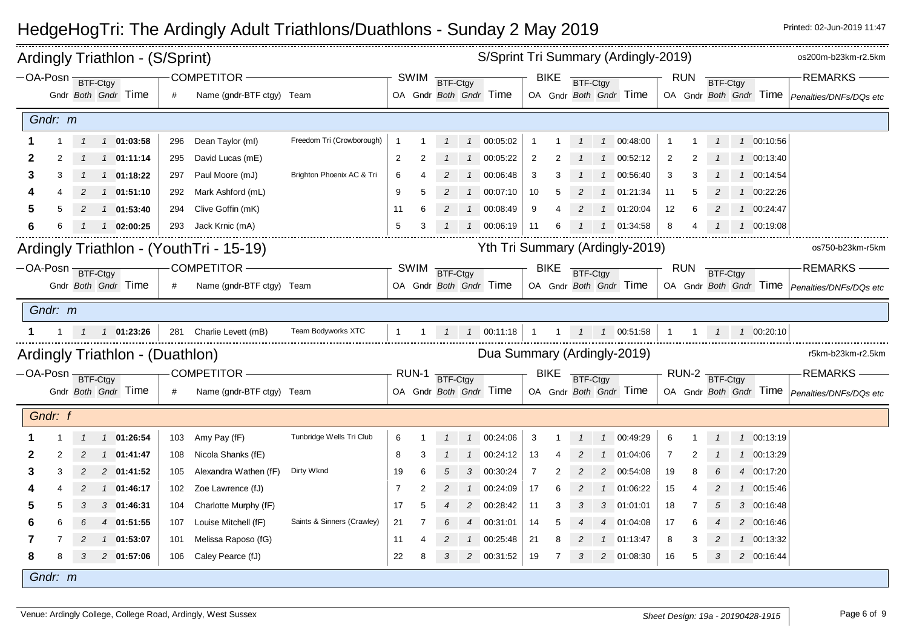|                            |         |   | Ardingly Triathlon - (S/Sprint)    |     |                                         |                            |                |             |          |                |                                               |                |             |                |                | S/Sprint Tri Summary (Ardingly-2019) |                |            |                |                   | os200m-b23km-r2.5km                                  |
|----------------------------|---------|---|------------------------------------|-----|-----------------------------------------|----------------------------|----------------|-------------|----------|----------------|-----------------------------------------------|----------------|-------------|----------------|----------------|--------------------------------------|----------------|------------|----------------|-------------------|------------------------------------------------------|
| -OA-Posn BTF-Ctgy          |         |   |                                    |     | COMPETITOR -                            |                            |                | <b>SWIM</b> | BTF-Ctgy |                |                                               |                | <b>BIKE</b> | BTF-Ctgy       |                |                                      |                | <b>RUN</b> | BTF-Ctgy       |                   | $-REMARKS -$                                         |
|                            |         |   | Gndr Both Gndr Time                | #   | Name (gndr-BTF ctgy) Team               |                            |                |             |          |                | OA Gndr Both Gndr Time                        |                |             |                |                | OA Gndr Both Gndr Time               |                |            |                |                   | OA Gndr Both Gndr Time   Penalties/DNFs/DQs etc      |
|                            | Gndr: m |   |                                    |     |                                         |                            |                |             |          |                |                                               |                |             |                |                |                                      |                |            |                |                   |                                                      |
|                            |         |   | 1 1 01:03:58                       | 296 | Dean Taylor (ml)                        | Freedom Tri (Crowborough)  | -1             |             |          |                | 1 1 00:05:02                                  |                |             | $\mathcal{I}$  |                | 1 00:48:00                           |                |            | $\overline{1}$ | 1 00:10:56        |                                                      |
| 2                          |         |   | 1 1 01:11:14                       | 295 | David Lucas (mE)                        |                            | $\overline{c}$ |             |          | $\overline{1}$ | 00:05:22                                      | $\overline{2}$ |             |                | $\overline{1}$ | 00:52:12                             | $\overline{c}$ |            |                | 1 00:13:40        |                                                      |
| 3                          | 3       |   | $1 \quad 1 \quad 01:18:22$         | 297 | Paul Moore (mJ)                         | Brighton Phoenix AC & Tri  | 6              |             |          |                | 1 00:06:48                                    | 3              |             |                | $\overline{1}$ | 00:56:40                             | 3              |            |                | 1 00:14:54        |                                                      |
|                            |         | 2 | 1 01:51:10                         | 292 | Mark Ashford (mL)                       |                            | 9              | 5           | 2        | $\overline{1}$ | 00:07:10                                      | 10             | 5           | 2              | $\overline{1}$ | 01:21:34                             | 11             | 5          |                | 1 00:22:26        |                                                      |
|                            |         | 2 | $1 \quad 01:53:40$                 | 294 | Clive Goffin (mK)                       |                            | 11             | 6           |          |                | 1 00:08:49                                    | 9              |             | $\overline{2}$ | $\overline{1}$ | 01:20:04                             | 12             | 6          | 2              | 1 00:24:47        |                                                      |
| 6                          |         |   | $1\quad 02:00:25$                  | 293 | Jack Krnic (mA)                         |                            | 5              | 3           |          |                | 1 00:06:19                                    | -11            | 6           |                |                | 1 01:34:58                           | 8              |            |                | 1 00:19:08        |                                                      |
|                            |         |   |                                    |     | Ardingly Triathlon - (YouthTri - 15-19) |                            |                |             |          |                |                                               |                |             |                |                | Yth Tri Summary (Ardingly-2019)      |                |            |                |                   | os750-b23km-r5km                                     |
| $-OA-Posn$ <b>BTF-Ctgy</b> |         |   |                                    |     | <b>COMPETITOR -</b>                     |                            |                | SWIM        | BTF-Ctgy |                |                                               |                | <b>BIKE</b> | BTF-Ctgy       |                |                                      |                | <b>RUN</b> | BTF-Ctgy       |                   | -REMARKS                                             |
|                            |         |   | Gndr Both Gndr Time                | #   | Name (gndr-BTF ctgy) Team               |                            |                |             |          |                | OA Gndr Both Gndr Time                        |                |             |                |                | OA Gndr Both Gndr Time               |                |            |                |                   | OA Gndr Both Gndr Time   Penalties/DNFs/DQs etc      |
|                            | Gndr: m |   |                                    |     |                                         |                            |                |             |          |                |                                               |                |             |                |                |                                      |                |            |                |                   |                                                      |
|                            |         |   | $1 \quad 1 \quad 1 \quad 01:23:26$ |     | 281 Charlie Levett (mB)                 | Team Bodyworks XTC         | $\mathbf{1}$   |             |          |                | 1 $1$ $1$ 00:11:18   1   1   1   1   00:51:58 |                |             |                |                |                                      | $\overline{1}$ |            |                | 1  1  1  00:20:10 |                                                      |
|                            |         |   |                                    |     |                                         |                            |                |             |          |                |                                               |                |             |                |                |                                      |                |            |                |                   |                                                      |
|                            |         |   | Ardingly Triathlon - (Duathlon)    |     |                                         |                            |                |             |          |                | Dua Summary (Ardingly-2019)                   |                |             |                |                |                                      |                |            |                |                   | r5km-b23km-r2.5km                                    |
| -OA-Posn BTF-Ctgy          |         |   |                                    |     | COMPETITOR -                            |                            |                | RUN-1       | BTF-Ctgy |                |                                               |                | <b>BIKE</b> | BTF-Ctgy       |                |                                      |                |            | RUN-2 BTF-Ctgy |                   | REMARKS                                              |
|                            |         |   | Gndr Both Gndr Time                |     | Name (gndr-BTF ctgy) Team               |                            |                |             |          |                | OA Gndr Both Gndr Time                        |                |             |                |                | OA Gndr Both Gndr Time               |                |            |                |                   | OA Gndr Both Gndr Time <i>Penalties/DNFs/DQs etc</i> |
|                            | Gndr: f |   |                                    |     |                                         |                            |                |             |          |                |                                               |                |             |                |                |                                      |                |            |                |                   |                                                      |
|                            |         |   | 1 1 01:26:54                       |     | 103 Amy Pay (fF)                        | Tunbridge Wells Tri Club   | 6              |             |          |                | 1  1  00:24:06                                | 3              |             | $\mathcal I$   |                | 1 00:49:29                           | 6              |            | $\mathcal{I}$  | 1 00:13:19        |                                                      |
| 2                          | 2       | 2 | $1 \quad 01:41:47$                 | 108 | Nicola Shanks (fE)                      |                            | 8              |             |          | $\mathcal{I}$  | 00:24:12                                      | 13             |             |                |                | 01:04:06                             | $\overline{7}$ | 2          |                | 1 00:13:29        |                                                      |
| 3                          |         |   | 2 01:41:52                         | 105 | Alexandra Wathen (fF)                   | Dirty Wknd                 | 19             | 6           |          | 3              | 00:30:24                                      | $\overline{7}$ |             |                | 2              | 00:54:08                             | 19             | 8          |                | 4 00:17:20        |                                                      |
|                            |         |   | 1 01:46:17                         | 102 | Zoe Lawrence (fJ)                       |                            | 7              |             |          |                | 1 00:24:09                                    | 17             | 6           |                | $\overline{1}$ | 01:06:22                             | 15             |            | 2              | 1 00:15:46        |                                                      |
|                            | 5       | 3 | 3 01:46:31                         | 104 | Charlotte Murphy (fF)                   |                            | 17             | 5           | 4        | $\overline{2}$ | 00:28:42                                      | 11             | 3           | 3              | 3              | 01:01:01                             | 18             | -7         | 5              | 3 00:16:48        |                                                      |
|                            |         |   | 4 01:51:55                         | 107 | Louise Mitchell (fF)                    | Saints & Sinners (Crawley) | 21             | 7           |          | $\overline{4}$ | 00:31:01                                      | 14             | 5           |                | $\overline{4}$ | 01:04:08                             | 17             | 6          |                | 2 00:16:46        |                                                      |
|                            |         | 2 | 1 01:53:07                         | 101 | Melissa Raposo (fG)                     |                            | 11             |             | 2        |                | 1 00:25:48                                    | 21             | 8           | $\overline{2}$ |                | 1 01:13:47                           | 8              | 3          | $\overline{c}$ | 1 00:13:32        |                                                      |
| 8                          |         |   | 2 01:57:06                         | 106 | Caley Pearce (fJ)                       |                            | 22             | 8           | 3        |                | 2 00:31:52                                    | 19             | -7          | 3              |                | 2 01:08:30                           | 16             | 5          | 3              | 2 00:16:44        |                                                      |
|                            | Gndr: m |   |                                    |     |                                         |                            |                |             |          |                |                                               |                |             |                |                |                                      |                |            |                |                   |                                                      |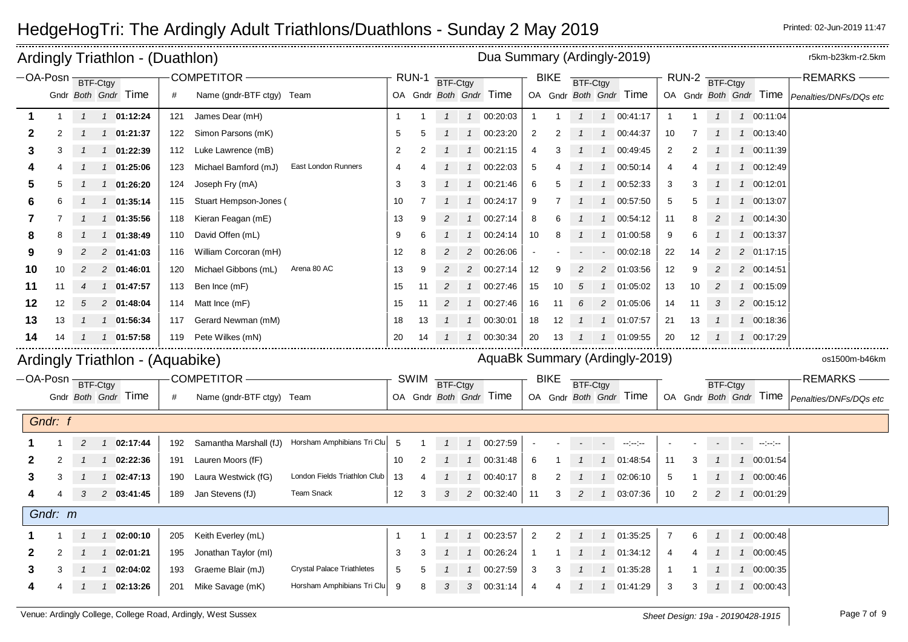| Ardingly Triathlon - (Duathlon) |         |               |               |                                 |     |                           |                                                   |                |             |                |                | Dua Summary (Ardingly-2019)    |                |             |                 |                          |                                                                                                                                                                                                                                                                                                                                                                                                                                                                            |                |                |                 |            |               | r5km-b23km-r2.5km                                    |
|---------------------------------|---------|---------------|---------------|---------------------------------|-----|---------------------------|---------------------------------------------------|----------------|-------------|----------------|----------------|--------------------------------|----------------|-------------|-----------------|--------------------------|----------------------------------------------------------------------------------------------------------------------------------------------------------------------------------------------------------------------------------------------------------------------------------------------------------------------------------------------------------------------------------------------------------------------------------------------------------------------------|----------------|----------------|-----------------|------------|---------------|------------------------------------------------------|
| -OA-Posn BTF-Ctgy               |         |               |               |                                 |     | COMPETITOR-               |                                                   |                | RUN-1       | BTF-Ctgy       |                |                                |                | <b>BIKE</b> | BTF-Ctgy        |                          |                                                                                                                                                                                                                                                                                                                                                                                                                                                                            |                | RUN-2          | BTF-Ctgy        |            |               | <b>REMARKS-</b>                                      |
|                                 |         |               |               | Gndr Both Gndr Time             | #   | Name (gndr-BTF ctgy) Team |                                                   |                |             |                |                | OA Gndr Both Gndr Time         |                |             |                 |                          | OA Gndr Both Gndr Time                                                                                                                                                                                                                                                                                                                                                                                                                                                     |                |                |                 |            |               | OA Gndr Both Gndr Time <i>Penalties/DNFs/DQs etc</i> |
| 1                               |         | $\mathcal{I}$ |               | $1$ 01:12:24                    | 121 | James Dear (mH)           |                                                   | $\mathbf{1}$   |             | $\mathbf{1}$   |                | 1 00:20:03                     | $\overline{1}$ |             | $\mathbf{1}$    |                          | 1 00:41:17                                                                                                                                                                                                                                                                                                                                                                                                                                                                 |                |                | $\overline{1}$  |            | 1 00:11:04    |                                                      |
| 2                               |         |               |               | 1 01:21:37                      | 122 | Simon Parsons (mK)        |                                                   | 5              | 5           |                |                | 1 00:23:20                     | 2              |             |                 |                          | 1 00:44:37                                                                                                                                                                                                                                                                                                                                                                                                                                                                 | 10             |                |                 |            | 1 00:13:40    |                                                      |
| 3                               | 3       |               |               | 1 01:22:39                      | 112 | Luke Lawrence (mB)        |                                                   | $\overline{2}$ |             |                | $\mathcal{I}$  | 00:21:15                       | 4              | 3           |                 | $\overline{1}$           | 00:49:45                                                                                                                                                                                                                                                                                                                                                                                                                                                                   | $\overline{2}$ | $\overline{2}$ |                 |            | 1 00:11:39    |                                                      |
|                                 |         |               |               | 1 01:25:06                      | 123 | Michael Bamford (mJ)      | East London Runners                               | 4              |             |                | $\mathcal{I}$  | 00:22:03                       | 5              |             |                 | $\overline{1}$           | 00:50:14                                                                                                                                                                                                                                                                                                                                                                                                                                                                   | 4              |                |                 |            | 1 00:12:49    |                                                      |
| 5                               |         |               |               | 1 01:26:20                      | 124 | Joseph Fry (mA)           |                                                   | 3              |             |                | $\mathcal{I}$  | 00:21:46                       | 6              |             |                 | $\overline{1}$           | 00:52:33                                                                                                                                                                                                                                                                                                                                                                                                                                                                   | 3              |                |                 |            | 1 00:12:01    |                                                      |
| 6                               |         |               |               | 1 01:35:14                      | 115 | Stuart Hempson-Jones (    |                                                   | 10             |             |                | $\mathcal{I}$  | 00:24:17                       | 9              |             |                 |                          | 1 00:57:50                                                                                                                                                                                                                                                                                                                                                                                                                                                                 | 5              |                |                 |            | 1 00:13:07    |                                                      |
| 7                               |         |               | $\mathcal{I}$ | 01:35:56                        | 118 | Kieran Feagan (mE)        |                                                   | 13             | 9           | 2              | $\mathcal I$   | 00:27:14                       | 8              | 6           |                 | $\mathcal{I}$            | 00:54:12                                                                                                                                                                                                                                                                                                                                                                                                                                                                   | 11             | 8              |                 |            | 1 00:14:30    |                                                      |
| 8                               | 8       |               |               | 1 01:38:49                      | 110 | David Offen (mL)          |                                                   | 9              | 6           |                | $\mathcal{I}$  | 00:24:14                       | 10             | 8           |                 | $\overline{1}$           | 01:00:58                                                                                                                                                                                                                                                                                                                                                                                                                                                                   | 9              | 6              |                 |            | 1 00:13:37    |                                                      |
| 9                               | 9       | 2             |               | 2 01:41:03                      | 116 | William Corcoran (mH)     |                                                   | 12             | 8           |                | $\overline{c}$ | 00:26:06                       |                |             |                 | $\blacksquare$           | 00:02:18                                                                                                                                                                                                                                                                                                                                                                                                                                                                   | 22             | 14             |                 |            | 2 01:17:15    |                                                      |
| 10                              | 10      | 2             |               | 2 01:46:01                      | 120 | Michael Gibbons (mL)      | Arena 80 AC                                       | 13             | 9           | $\overline{2}$ |                | 2 00:27:14                     | 12             | 9.          | $\overline{c}$  |                          | 2 01:03:56                                                                                                                                                                                                                                                                                                                                                                                                                                                                 | 12             | 9              | 2               |            | 2 00:14:51    |                                                      |
| 11                              | 11      |               |               | 1 01:47:57                      | 113 | Ben Ince (mF)             |                                                   | 15             | 11          | 2              | 1              | 00:27:46                       | 15             | 10          | 5               | $\mathcal{I}$            | 01:05:02                                                                                                                                                                                                                                                                                                                                                                                                                                                                   | 13             | 10             | $\overline{c}$  |            | 1 00:15:09    |                                                      |
| 12                              | 12      |               |               | 2 01:48:04                      | 114 | Matt Ince (mF)            |                                                   | 15             | 11          |                | $\mathbf{1}$   | 00:27:46                       | 16             | 11          | 6               |                          | 2 01:05:06                                                                                                                                                                                                                                                                                                                                                                                                                                                                 | 14             | 11             | 3               |            | 2 00:15:12    |                                                      |
| 13                              | 13      |               |               | 1 01:56:34                      | 117 | Gerard Newman (mM)        |                                                   | 18             | 13          |                | $\mathcal{I}$  | 00:30:01                       | 18             | 12          |                 |                          | 1 01:07:57                                                                                                                                                                                                                                                                                                                                                                                                                                                                 | 21             | 13             |                 |            | 1 00:18:36    |                                                      |
| 14                              | 14      |               |               | 1 01:57:58                      | 119 | Pete Wilkes (mN)          |                                                   | 20             | 14          |                | $\mathcal{I}$  | 00:30:34                       | 20             | 13          |                 |                          | 1 01:09:55                                                                                                                                                                                                                                                                                                                                                                                                                                                                 | 20             | 12             |                 |            | 1 00:17:29    |                                                      |
|                                 |         |               |               | Ardingly Triathlon - (Aquabike) |     |                           |                                                   |                |             |                |                | AquaBk Summary (Ardingly-2019) |                |             |                 |                          |                                                                                                                                                                                                                                                                                                                                                                                                                                                                            |                |                |                 |            |               | os1500m-b46km                                        |
| -OA-Posn BTF-Ctgy               |         |               |               |                                 |     | <b>COMPETITOR -</b>       |                                                   |                | <b>SWIM</b> |                |                |                                |                | <b>BIKE</b> |                 |                          |                                                                                                                                                                                                                                                                                                                                                                                                                                                                            |                |                |                 |            |               | <b>REMARKS-</b>                                      |
|                                 |         |               |               | Gndr Both Gndr Time             | #   | Name (gndr-BTF ctgy) Team |                                                   |                |             | BTF-Ctgy       |                | OA Gndr Both Gndr Time         |                |             | <b>BTF-Ctgy</b> |                          | OA Gndr Both Gndr Time                                                                                                                                                                                                                                                                                                                                                                                                                                                     |                |                | <b>BTF-Ctgy</b> |            |               | OA Gndr Both Gndr Time Penalties/DNFs/DQs etc        |
|                                 |         |               |               |                                 |     |                           |                                                   |                |             |                |                |                                |                |             |                 |                          |                                                                                                                                                                                                                                                                                                                                                                                                                                                                            |                |                |                 |            |               |                                                      |
|                                 | Gndr: f |               |               |                                 |     |                           |                                                   |                |             |                |                |                                |                |             |                 |                          |                                                                                                                                                                                                                                                                                                                                                                                                                                                                            |                |                |                 |            |               |                                                      |
|                                 |         | 2             |               | $1 \quad 02:17:44$              | 192 |                           | Samantha Marshall (fJ) Horsham Amphibians Tri Clu | 5              |             |                | $\mathbf{1}$   | 00:27:59                       |                |             |                 | $\overline{\phantom{a}}$ | $\frac{1}{2} \left( \frac{1}{2} \right) \left( \frac{1}{2} \right) \left( \frac{1}{2} \right) \left( \frac{1}{2} \right) \left( \frac{1}{2} \right) \left( \frac{1}{2} \right) \left( \frac{1}{2} \right) \left( \frac{1}{2} \right) \left( \frac{1}{2} \right) \left( \frac{1}{2} \right) \left( \frac{1}{2} \right) \left( \frac{1}{2} \right) \left( \frac{1}{2} \right) \left( \frac{1}{2} \right) \left( \frac{1}{2} \right) \left( \frac{1}{2} \right) \left( \frac$ |                |                |                 | $\sim 100$ | $\sim$ $\sim$ |                                                      |
|                                 | 2       |               |               | $1$ 02:22:36                    | 191 | Lauren Moors (fF)         |                                                   | 10             | 2           |                | $\mathcal{I}$  | 00:31:48                       | 6              |             |                 | $\overline{1}$           | 01:48:54                                                                                                                                                                                                                                                                                                                                                                                                                                                                   | 11             | 3              |                 |            | 1 00:01:54    |                                                      |
| з                               | 3       |               |               | $1 \quad 02:47:13$              | 190 | Laura Westwick (fG)       | London Fields Triathlon Club                      | 13             |             |                | $\mathbf{1}$   | 00:40:17                       | 8              |             |                 | $\overline{1}$           | 02:06:10                                                                                                                                                                                                                                                                                                                                                                                                                                                                   | 5              |                |                 |            | 1 00:00:46    |                                                      |
|                                 |         | 3             |               | 2 03:41:45                      | 189 | Jan Stevens (fJ)          | <b>Team Snack</b>                                 | 12             | 3           | 3              |                | 2 00:32:40                     | 11             | 3           | $\overline{2}$  |                          | 1 03:07:36                                                                                                                                                                                                                                                                                                                                                                                                                                                                 | 10             | 2              | 2               |            | 1 00:01:29    |                                                      |
|                                 | Gndr: m |               |               |                                 |     |                           |                                                   |                |             |                |                |                                |                |             |                 |                          |                                                                                                                                                                                                                                                                                                                                                                                                                                                                            |                |                |                 |            |               |                                                      |
|                                 |         |               |               | 1 02:00:10                      | 205 | Keith Everley (mL)        |                                                   | $\mathbf 1$    |             |                | $\mathcal{I}$  | 00:23:57                       | $\overline{2}$ | 2           |                 |                          | 1 01:35:25                                                                                                                                                                                                                                                                                                                                                                                                                                                                 | 7              | 6              |                 |            | 1 00:00:48    |                                                      |
| 2                               |         |               |               | 1 02:01:21                      | 195 | Jonathan Taylor (ml)      |                                                   | 3              | 3           |                | $\mathcal{I}$  | 00:26:24                       | $\mathbf{1}$   |             |                 |                          | 1 01:34:12                                                                                                                                                                                                                                                                                                                                                                                                                                                                 | 4              |                |                 |            | 1 00:00:45    |                                                      |
| 3                               | 3       |               |               | 02:04:02                        | 193 | Graeme Blair (mJ)         | <b>Crystal Palace Triathletes</b>                 | 5              | 5           |                |                | 00:27:59                       | 3              | 3           |                 | $\mathcal{I}$            | 01:35:28                                                                                                                                                                                                                                                                                                                                                                                                                                                                   | -1             |                |                 |            | 1 00:00:35    |                                                      |
|                                 |         |               | $\mathcal{I}$ | 02:13:26                        | 201 | Mike Savage (mK)          | Horsham Amphibians Tri Clu                        | 9              | 8           | 3              | 3              | 00.31:14                       | $\overline{4}$ |             |                 |                          | 1 01:41:29                                                                                                                                                                                                                                                                                                                                                                                                                                                                 | 3              | 3              |                 |            | 1 00:00:43    |                                                      |
|                                 |         |               |               |                                 |     |                           |                                                   |                |             |                |                |                                |                |             |                 |                          |                                                                                                                                                                                                                                                                                                                                                                                                                                                                            |                |                |                 |            |               |                                                      |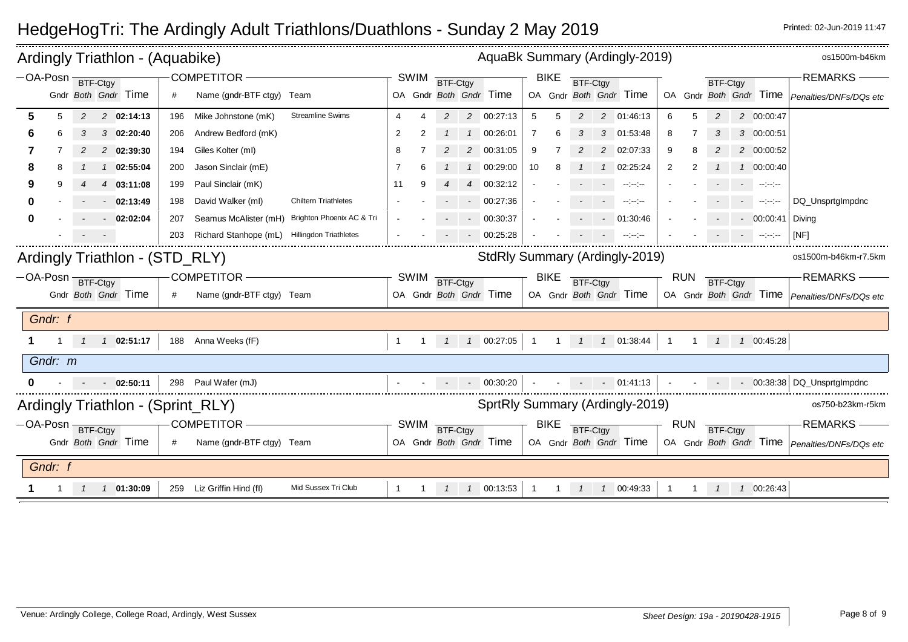|                    |   |                   |                | Ardingly Triathlon - (Aquabike)                                                                  |                                                      |                                                                                                                                                                                                               |                                                                                         |                        |                |          |        | AquaBk Summary (Ardingly-2019)                                                                 |                                |                |             |                                                                                                                                                                                                                                                     |                               |                |                 |                 |                                                                                                                                                                                 | os1500m-b46km                                                                             |
|--------------------|---|-------------------|----------------|--------------------------------------------------------------------------------------------------|------------------------------------------------------|---------------------------------------------------------------------------------------------------------------------------------------------------------------------------------------------------------------|-----------------------------------------------------------------------------------------|------------------------|----------------|----------|--------|------------------------------------------------------------------------------------------------|--------------------------------|----------------|-------------|-----------------------------------------------------------------------------------------------------------------------------------------------------------------------------------------------------------------------------------------------------|-------------------------------|----------------|-----------------|-----------------|---------------------------------------------------------------------------------------------------------------------------------------------------------------------------------|-------------------------------------------------------------------------------------------|
|                    |   | -OA-Posn BTF-Ctgy |                | Gndr Both Gndr Time                                                                              | #                                                    | <b>COMPETITOR</b><br>Name (gndr-BTF ctgy) Team                                                                                                                                                                |                                                                                         |                        | <b>SWIM</b>    | BTF-Ctgy |        | OA Gndr Both Gndr Time                                                                         |                                | <b>BIKE</b>    | BTF-Ctgy    | OA Gndr Both Gndr Time                                                                                                                                                                                                                              |                               |                | BTF-Ctgy        |                 |                                                                                                                                                                                 | <b>REMARKS</b><br>OA Gndr Both Gndr Time   Penalties/DNFs/DQs etc                         |
| 5<br>8<br>9<br>0   | 5 | 2<br>2            | $\overline{4}$ | 2 02:14:13<br>$3$ 02:20:40<br>2 02:39:30<br>1 02:55:04<br>03:11:08<br>$-02:13:49$<br>$-02:02:04$ | 196<br>206<br>194<br>200<br>199<br>198<br>207<br>203 | Mike Johnstone (mK)<br>Andrew Bedford (mK)<br>Giles Kolter (ml)<br>Jason Sinclair (mE)<br>Paul Sinclair (mK)<br>David Walker (ml)<br>Seamus McAlister (mH) Brighton Phoenix AC & Tri<br>Richard Stanhope (mL) | <b>Streamline Swims</b><br><b>Chiltern Triathletes</b><br><b>Hillingdon Triathletes</b> | 4<br>2<br>8<br>7<br>11 |                | 2<br>2   | 2<br>4 | 2 00:27:13<br>00:26:01<br>00:31:05<br>00:29:00<br>00:32:12<br>00:27:36<br>00:30:37<br>00:25:28 | 5<br>$\overline{7}$<br>9<br>10 | 5              | 2<br>3<br>2 | 2 01:46:13<br>3 01:53:48<br>2 02:07:33<br>02:25:24<br>$\sim$ 100 $\sim$<br>$\frac{1}{2} \left( \frac{1}{2} \frac{1}{2} \right) \frac{1}{2} \left( \frac{1}{2} \frac{1}{2} \right)$<br>01:30:46<br>$\frac{1}{2}$ and $\frac{1}{2}$ and $\frac{1}{2}$ | 6<br>8<br>9<br>$\overline{2}$ |                | 2               | $\sim 10^{-11}$ | 2 00:00:47<br>3 00:00:51<br>2 00:00:52<br>1 00:00:40<br>$\sim$ 100 $\sim$<br>$-1 - 1 - 1 - 1 = 0$<br>$-00:00:41$<br>$\omega_{\rm{eff}}=0.000000$ and $\omega_{\rm{eff}}=0.0000$ | DQ Unsprtglmpdnc<br>Diving<br>[NF]                                                        |
|                    |   | -OA-Posn BTF-Ctgy |                | Ardingly Triathlon - (STD_RLY)<br>Gndr Both Gndr Time                                            | #                                                    | <b>COMPETITOR</b><br>Name (gndr-BTF ctgy) Team                                                                                                                                                                |                                                                                         |                        | SWIM           | BTF-Ctgy |        | StdRly Summary (Ardingly-2019)<br>OA Gndr Both Gndr Time                                       |                                | <b>BIKE</b>    | BTF-Ctgy    | OA Gndr Both Gndr Time                                                                                                                                                                                                                              |                               | RUN            | BTF-Ctgy        |                 |                                                                                                                                                                                 | os1500m-b46km-r7.5km<br><b>REMARKS</b><br>OA Gndr Both Gndr Time   Penalties/DNFs/DQs etc |
| Gndr: f<br>Gndr: m |   |                   |                | 1 02:51:17<br>$-02:50:11$                                                                        |                                                      | 188 Anna Weeks (fF)<br>298 Paul Wafer (mJ)                                                                                                                                                                    |                                                                                         | $\overline{1}$         | $\overline{1}$ |          |        | $1 \quad 1 \quad 00:27:05$<br>$-00:30:20$                                                      |                                |                |             | $1 \quad 1 \quad 1 \quad 1 \quad 01.38.44$<br>$- 01:41:13$                                                                                                                                                                                          | $\overline{1}$                | $\overline{1}$ |                 |                 | 1 1 00:45:28                                                                                                                                                                    | $\sim$ 00:38:38 DQ Unsprtglmpdnc                                                          |
|                    |   | -OA-Posn BTF-Ctgy |                | Gndr Both Gndr Time                                                                              | #                                                    | Ardingly Triathlon - (Sprint_RLY)<br><b>COMPETITOR</b><br>Name (gndr-BTF ctgy) Team                                                                                                                           |                                                                                         |                        | SWIM           | BTF-Ctgy |        | SprtRly Summary (Ardingly-2019)<br>OA Gndr Both Gndr Time                                      |                                | BIKE           | BTF-Ctgy    | OA Gndr Both Gndr Time                                                                                                                                                                                                                              |                               | RUN            | <b>BTF-Ctgy</b> |                 |                                                                                                                                                                                 | os750-b23km-r5km<br><b>REMARKS</b><br>OA Gndr Both Gndr Time   Penalties/DNFs/DQs etc     |
| Gndr: f            |   |                   |                | 1 01:30:09                                                                                       |                                                      | 259 Liz Griffin Hind (fl)                                                                                                                                                                                     | Mid Sussex Tri Club                                                                     | $\mathbf{1}$           | $1 \quad$      |          |        | 1 1 00:13:53                                                                                   | $\overline{1}$                 | $\overline{1}$ |             | 1 1 00:49:33                                                                                                                                                                                                                                        |                               |                |                 |                 | 1 1 00:26:43                                                                                                                                                                    |                                                                                           |